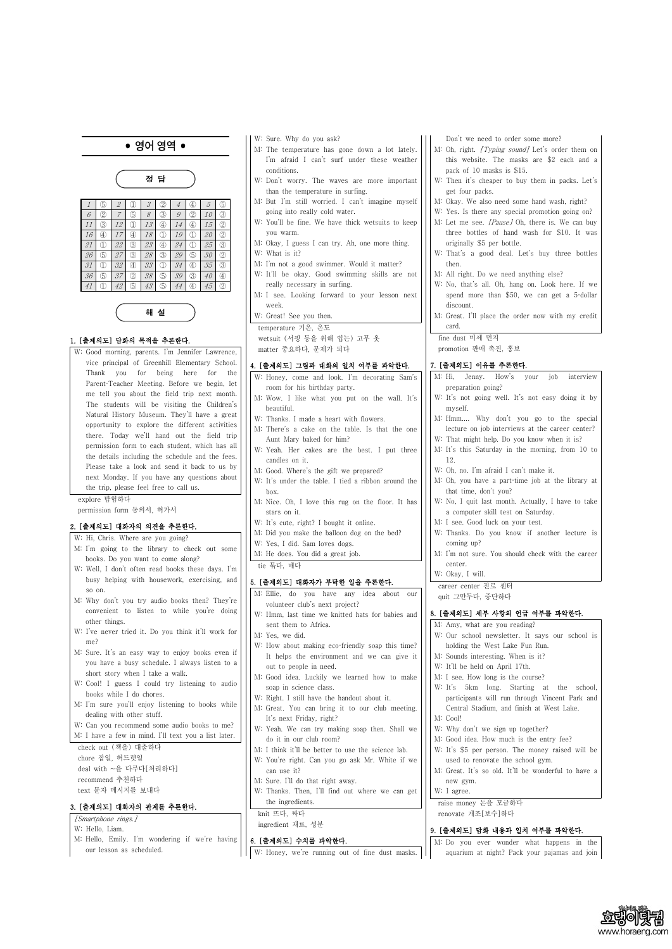# • 영어영역 •



해 설

# 1. [출제의도] 담화의 목적을 추론한다.

W: Good morning, parents. I'm Jennifer Lawrence, vice principal of Greenhill Elementary School. Thank you for being here for the Parent-Teacher Meeting. Before we begin, let me tell you about the field trip next month. The students will be visiting the Children's Natural History Museum. They'll have a great opportunity to explore the different activities there. Today we'll hand out the field trip permission form to each student, which has all the details including the schedule and the fees. Please take a look and send it back to us by next Monday. If you have any questions about the trip, please feel free to call us.

- W: Hi, Chris. Where are you going?
- M: I'm going to the library to check out some books. Do you want to come along?
- W: Well, I don't often read books these days. I'm busy helping with housework, exercising, and so on.
- M: Why don't you try audio books then? They're convenient to listen to while you're doing other things.
- W: I've never tried it. Do you think it'll work for me?
- M: Sure. It's an easy way to enjoy books even if you have a busy schedule. I always listen to a short story when I take a walk.
- W: Cool! I guess I could try listening to audio books while I do chores.
- M: I'm sure you'll enjoy listening to books while dealing with other stuff

explore 탐험하다 permission form 동의서, 허가서

# 2. [출제의도] 대화자의 의견을 추론한다.

W: Hello, Liam.

M: Hello, Emily. I'm wondering if we're having

our lesson as scheduled.

- W: Sure. Why do you ask?
- M: The temperature has gone down a lot lately. I'm afraid I can't surf under these weather conditions.
- W: Don't worry. The waves are more important than the temperature in surfing.
- M: But I'm still worried. I can't imagine myself going into really cold water.
- W: You'll be fine. We have thick wetsuits to keep you warm.
- M: Okay, I guess I can try. Ah, one more thing. W: What is it?
- M: I'm not a good swimmer. Would it matter?
- W: It'll be okay. Good swimming skills are not really necessary in surfing.
- M: I see. Looking forward to your lesson next week.
- W: Great! See you then.
- M: Oh, right. [Typing sound] Let's order them on this website. The masks are \$2 each and a pack of 10 masks is \$15.
- W: Then it's cheaper to buy them in packs. Let's get four packs.
- M: Okay. We also need some hand wash, right?
- W: Yes. Is there any special promotion going on?
- M: Let me see. [Pause] Oh, there is. We can buy three bottles of hand wash for \$10. It was originally \$5 per bottle.
- W: That's a good deal. Let's buy three bottles then.
- M: All right. Do we need anything else?
- W: No, that's all. Oh, hang on. Look here. If we spend more than \$50, we can get a 5-dollar discount.
- M: Great. I'll place the order now with my credit card.

temperature 기온, 온도 wetsuit (서핑 등을 위해 입는) 고무 옷 matter 중요하다, 문제가 되다

# 4. [출제의도] 그림과 대화의 일치 여부를 파악한다.

- W: Honey, come and look. I'm decorating Sam's room for his birthday party.
- M: Wow. I like what you put on the wall. It's beautiful.
- W: Thanks. I made a heart with flowers.
- M: There's a cake on the table. Is that the one Aunt Mary baked for him?
- W: Yeah. Her cakes are the best. I put three candles on it.
- M: Good. Where's the gift we prepared?
- W: It's under the table. I tied a ribbon around the box.
- M: Nice. Oh, I love this rug on the floor. It has stars on it.
- W: It's cute, right? I bought it online.
- M: Did you make the balloon dog on the bed?
- W: Yes, I did. Sam loves dogs.
- M: He does. You did a great job.

tie 묶다, 매다

# 5. [출제의도] 대화자가 부탁한 일을 추론한다.

- M: Ellie, do you have any idea about our volunteer club's next project?
- W: Hmm, last time we knitted hats for babies and sent them to Africa.
- M: Yes, we did.
- W: How about making eco-friendly soap this time? It helps the environment and we can give it out to people in need.
- M: Good idea. Luckily we learned how to make soap in science class.
- W: Right. I still have the handout about it.

M: Great. You can bring it to our club meeting.

| ucanng with other stuff.                             | It's next Friday, right?                           | M: Cool!                                            |
|------------------------------------------------------|----------------------------------------------------|-----------------------------------------------------|
| W: Can you recommend some audio books to me?         | W: Yeah. We can try making soap then. Shall we     | W: Why don't we sign up together?                   |
| M: I have a few in mind. I'll text you a list later. | do it in our club room?                            | M: Good idea. How much is the entry fee?            |
| check out (책을) 대출하다                                  | M: I think it'll be better to use the science lab. | W: It's \$5 per person. The money raised will be    |
| chore 잡일, 허드렛일                                       | W: You're right. Can you go ask Mr. White if we    | used to renovate the school gym.                    |
| deal with ~을 다루다[처리하다]                               | can use it?                                        | M: Great. It's so old. It'll be wonderful to have a |
| recommend 추천하다                                       | M: Sure. I'll do that right away.                  | new gym.                                            |
| text 문자 메시지를 보내다                                     | W: Thanks. Then, I'll find out where we can get    | W: I agree.                                         |
|                                                      | the ingredients.                                   | raise money 돈을 모금하다                                 |
| 3. [출제의도] 대화자의 관계를 추론한다.                             | knit 뜨다, 짜다                                        | renovate 개조[보수]하다                                   |
| [Smartphone rings.]                                  |                                                    |                                                     |
| $TTT$ , $TT$ , $11$ , $T$ , $T$                      | ingredient 재료, 성분                                  |                                                     |

Don't we need to order some more?

fine dust 미세 먼지

promotion 판매 촉진, 홍보

# 7. [출제의도] 이유를 추론한다.

- M: Hi, Jenny. How's your job interview preparation going? W: It's not going well. It's not easy doing it by
- myself. M: Hmm.... Why don't you go to the special
- lecture on job interviews at the career center? W: That might help. Do you know when it is?
- M: It's this Saturday in the morning, from 10 to 12.
- W: Oh, no. I'm afraid I can't make it.
- M: Oh, you have a part-time job at the library at that time, don't you?
- W: No, I quit last month. Actually, I have to take a computer skill test on Saturday.
- M: I see. Good luck on your test.
- W: Thanks. Do you know if another lecture is coming up?
- M: I'm not sure. You should check with the career center.

| . [출제의도] 수치를 파악한다.                              |  |  |  |  | M: Do you ever wonder what happens in the     |  |
|-------------------------------------------------|--|--|--|--|-----------------------------------------------|--|
| W: Honey, we're running out of fine dust masks. |  |  |  |  | aquarium at night? Pack your pajamas and join |  |



W: Okay, I will.

career center 진로 센터

quit 그만두다, 중단하다

# 8. [출제의도] 세부 사항의 언급 여부를 파악한다.

- M: Amy, what are you reading?
- W: Our school newsletter. It says our school is holding the West Lake Fun Run.
- M: Sounds interesting. When is it?
- W: It'll be held on April 17th.
- M: I see. How long is the course?
- W: It's 5km long. Starting at the school, participants will run through Vincent Park and Central Stadium, and finish at West Lake.

# 9. [출제의도] 담화 내용과 일치 여부를 파악한다.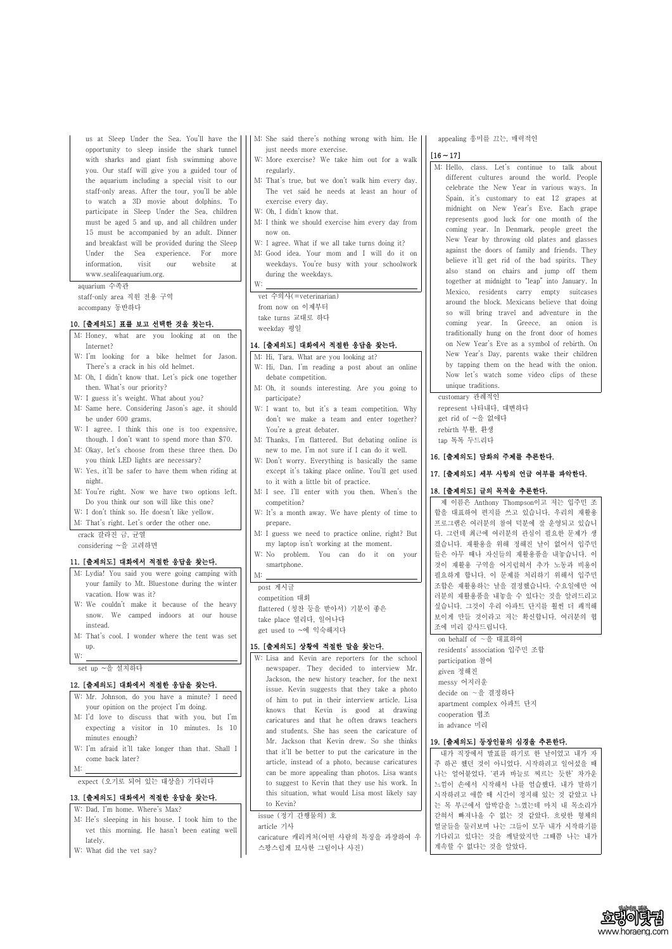us at Sleep Under the Sea. You'll have the opportunity to sleep inside the shark tunnel with sharks and giant fish swimming above you. Our staff will give you a guided tour of the aquarium including a special visit to our staff-only areas. After the tour, you'll be able to watch a 3D movie about dolphins. To participate in Sleep Under the Sea, children must be aged 5 and up, and all children under 15 must be accompanied by an adult. Dinner and breakfast will be provided during the Sleep Under the Sea experience. For more information, visit our website at www.sealifeaquarium.org.

aquarium 수족관 staff-only area 직원 전용 구역 accompany 동반하다

# 10. [출제의도] 표를 보고 선택한 것을 찾는다.

- M: Lydia! You said you were going camping with  $\frac{1}{1}$  M: your family to Mt. Bluestone during the winter vacation. How was it?
- W: We couldn't make it because of the heavy snow. We camped indoors at our house instead.
- M: That's cool. I wonder where the tent was set up.
- 

 $\frac{W:}{W:}$  set up  $\sim \frac{2}{3}$  설치하다

- M: Honey, what are you looking at on the Internet?
- W: I'm looking for a bike helmet for Jason. There's a crack in his old helmet.
- M: Oh, I didn't know that. Let's pick one together then. What's our priority?
- W: I guess it's weight. What about you?
- M: Same here. Considering Jason's age, it should be under 600 grams.
- W: I agree. I think this one is too expensive, though. I don't want to spend more than \$70.
- M: Okay, let's choose from these three then. Do you think LED lights are necessary?
- W: Yes, it'll be safer to have them when riding at night.
- M: You're right. Now we have two options left. Do you think our son will like this one?
- W: I don't think so. He doesn't like yellow.
- M: That's right. Let's order the other one.

crack 갈라진 금, 균열

considering ~을 고려하면

#### 11. [출제의도] 대화에서 적절한 응답을 찾는다.

#### 12. [출제의도] 대화에서 적절한 응답을 찾는다.

W: Mr. Johnson, do you have a minute? I need your opinion on the project I'm doing.

- M: She said there's nothing wrong with him. He just needs more exercise.
- W: More exercise? We take him out for a walk regularly.
- M: That's true, but we don't walk him every day. The vet said he needs at least an hour of exercise every day.
- W: Oh, I didn't know that.
- M: I think we should exercise him every day from now on.
- W: I agree. What if we all take turns doing it?
- M: Good idea. Your mom and I will do it on weekdays. You're busy with your schoolwork during the weekdays.

W:<br>vet 수의사(=veterinarian)

from now on 이제부터 take turns 교대로 하다 weekday 평일

## 14. [출제의도] 대화에서 적절한 응답을 찾는다.

M: Hi, Tara. What are you looking at?

- W: Hi, Dan. I'm reading a post about an online debate competition.
- M: Oh, it sounds interesting. Are you going to participate?
- W: I want to, but it's a team competition. Why don't we make a team and enter together? You're a great debater.
- M: Thanks, I'm flattered. But debating online is new to me. I'm not sure if I can do it well.
- W: Don't worry. Everything is basically the same except it's taking place online. You'll get used to it with a little bit of practice.
- M: I see. I'll enter with you then. When's the competition?
- W: It's a month away. We have plenty of time to prepare.
- M: I guess we need to practice online, right? But my laptop isn't working at the moment.
- W: No problem. You can do it on your smartphone.

#### post 게시글

competition 대회 flattered (칭찬 등을 받아서) 기분이 좋은 take place 열리다, 일어나다 get used to ~에 익숙해지다

# 15. [출제의도] 상황에 적절한 말을 찾는다.

W: Lisa and Kevin are reporters for the school newspaper. They decided to interview Mr. Jackson, the new history teacher, for the next issue. Kevin suggests that they take a photo of him to put in their interview article. Lisa knows that Kevin is good at drawing

| M: I'd love to discuss that with you, but I'm<br>expecting a visitor in 10 minutes. Is 10<br>minutes enough? | $\frac{1}{1110}$ $\frac{1}{1100}$ $\frac{1}{1100}$ $\frac{1}{111}$ $\frac{1}{110}$ $\frac{1}{1100}$ $\frac{1}{1100}$ $\frac{1}{1100}$<br>caricatures and that he often draws teachers<br>and students. She has seen the caricature of | cooperation 협조<br>in advance 미리                                                                                             |
|--------------------------------------------------------------------------------------------------------------|---------------------------------------------------------------------------------------------------------------------------------------------------------------------------------------------------------------------------------------|-----------------------------------------------------------------------------------------------------------------------------|
| W: I'm afraid it'll take longer than that. Shall I<br>come back later?<br>M:                                 | Mr. Jackson that Kevin drew. So she thinks<br>that it'll be better to put the caricature in the<br>article, instead of a photo, because caricatures<br>can be more appealing than photos. Lisa wants                                  | 19. [출제의도] 등장인물의 심경을 추론한다.<br>내가 직장에서 발표를 하기로 한 날이었고 내가 자<br>주 하곤 했던 것이 아니었다. 시작하려고 일어섰을 때<br>나는 얼어붙었다. '핀과 바늘로 찌르는 듯한' 차가운 |
| expect (오기로 되어 있는 대상을) 기다리다                                                                                  | to suggest to Kevin that they use his work. In                                                                                                                                                                                        | 느낌이 손에서 시작해서 나를 엄습했다. 내가 말하기                                                                                                |
| 13. [출제의도] 대화에서 적절한 응답을 찾는다.                                                                                 | this situation, what would Lisa most likely say                                                                                                                                                                                       | 시작하려고 애쓸 때 시간이 정지해 있는 것 같았고 나                                                                                               |
| W: Dad, I'm home. Where's Max?                                                                               | to Kevin?                                                                                                                                                                                                                             | 는 목 부근에서 압박감을 느꼈는데 마치 내 목소리가                                                                                                |
| M: He's sleeping in his house. I took him to the                                                             | issue (정기 간행물의) 호                                                                                                                                                                                                                     | 갇혀서 빠져나올 수 없는 것 같았다. 흐릿한 형체의                                                                                                |
| vet this morning. He hasn't been eating well                                                                 | article 기사                                                                                                                                                                                                                            | 얼굴들을 둘러보며 나는 그들이 모두 내가 시작하기를                                                                                                |
| lately.                                                                                                      | caricature 캐리커처 (어떤 사람의 특징을 과장하여 우                                                                                                                                                                                                    | 기다리고 있다는 것을 깨달았지만 그때쯤 나는 내가                                                                                                 |
| W: What did the vet say?                                                                                     | 스꽝스럽게 묘사한 그림이나 사진)                                                                                                                                                                                                                    | 계속할 수 없다는 것을 알았다.                                                                                                           |



appealing 흥미를 끄는, 매력적인

# $[16 - 17]$

M: Hello, class. Let's continue to talk about different cultures around the world. People celebrate the New Year in various ways. In Spain, it's customary to eat 12 grapes at midnight on New Year's Eve. Each grape represents good luck for one month of the coming year. In Denmark, people greet the New Year by throwing old plates and glasses against the doors of family and friends. They believe it'll get rid of the bad spirits. They also stand on chairs and jump off them together at midnight to "leap" into January. In Mexico, residents carry empty suitcases around the block. Mexicans believe that doing so will bring travel and adventure in the coming year. In Greece, an onion is traditionally hung on the front door of homes on New Year's Eve as a symbol of rebirth. On New Year's Day, parents wake their children by tapping them on the head with the onion. Now let's watch some video clips of these unique traditions.

#### customary 관례적인

represent 나타내다, 대변하다 get rid of ~을 없애다 rebirth 부활, 환생 tap 톡톡 두드리다

#### 16. [출제의도] 담화의 주제를 추론한다.

#### 17. [출제의도] 세부 사항의 언급 여부를 파악한다.

# 18. [출제의도] 글의 목적을 추론한다.

제 이름은 Anthony Thompson이고 저는 입주민 조 합을 대표하여 편지를 쓰고 있습니다. 우리의 재활용 프로그램은 여러분의 참여 덕분에 잘 운영되고 있습니 다. 그런데 최근에 여러분의 관심이 필요한 문제가 생 겼습니다. 재활용을 위해 정해진 날이 없어서 입주민 들은 아무 때나 자신들의 재활용품을 내놓습니다. 이 것이 재활용 구역을 어지럽혀서 추가 노동과 비용이 필요하게 합니다. 이 문제를 처리하기 위해서 입주민 조합은 재활용하는 날을 결정했습니다. 수요일에만 여 러분의 재활용품을 내놓을 수 있다는 것을 알려드리고 싶습니다. 그것이 우리 아파트 단지를 훨씬 더 쾌적해 보이게 만들 것이라고 저는 확신합니다. 여러분의 협 조에 미리 감사드립니다.

on behalf of ∼을 대표하여 residents' association 입주민 조합 participation 참여 given 정해진 messy 어지러운 decide on ∼을 결정하다 apartment complex 아파트 단지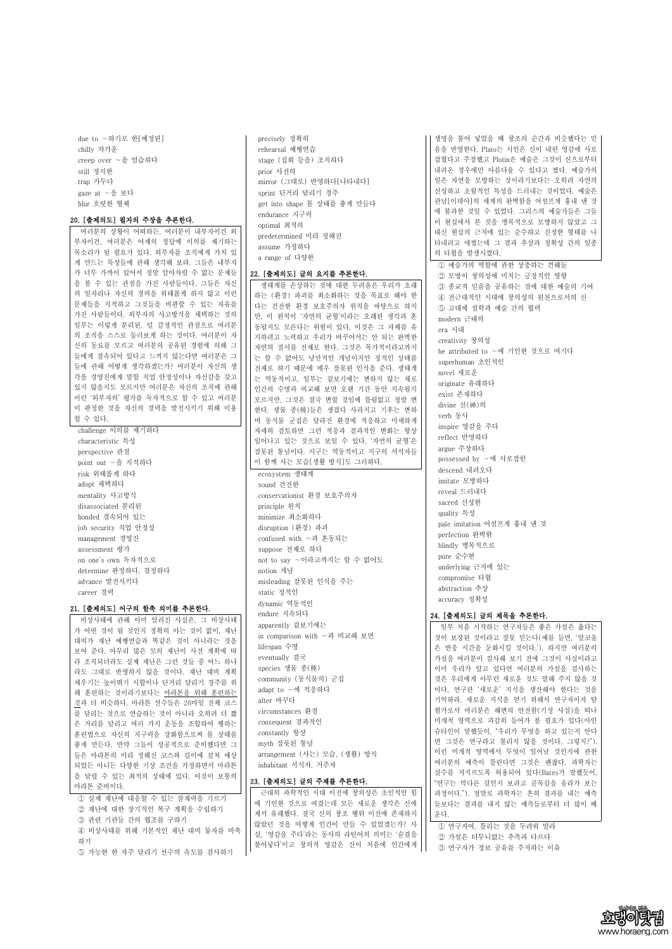due to ∼하기로 한[예정된] chilly 차가운 creep over ∼을 엄습하다 still 정지한 trap 가두다 gaze at ∼을 보다 blur 흐릿한 형체

#### 20. [출제의도] 필자의 주장을 추론한다.

여러분의 상황이 어떠하든, 여러분이 내부자이건 외 부자이건, 여러분은 어제의 정답에 이의를 제기하는 목소리가 될 필요가 있다. 외부자를 조직에게 가치 있 게 만드는 특성들에 관해 생각해 보라. 그들은 내부자 가 너무 가까이 있어서 정말 알아차릴 수 없는 문제들 을 볼 수 있는 관점을 가진 사람들이다. 그들은 자신 의 일자리나 자신의 경력을 위태롭게 하지 않고 이런 문제들을 지적하고 그것들을 비판할 수 있는 자유를 가진 사람들이다. 외부자의 사고방식을 채택하는 것의 일부는 이렇게 분리된, 덜 감정적인 관점으로 여러분 의 조직을 스스로 둘러보게 하는 것이다. 여러분이 자 신의 동료를 모르고 여러분의 공유된 경험에 의해 그 들에게 결속되어 있다고 느끼지 않는다면 여러분은 그 들에 관해 어떻게 생각하겠는가? 여러분이 자신의 생 각을 경영진에게 말할 직업 안정성이나 자신감을 갖고 있지 않을지도 모르지만 여러분은 자신의 조직에 관해 이런 '외부자의' 평가를 독자적으로 할 수 있고 여러분 이 판정한 것을 자신의 경력을 발전시키기 위해 이용 할 수 있다.

challenge 이의를 제기하다 characteristic 특성 perspective 관점 point out ∼을 지적하다 risk 위태롭게 하다 adopt 채택하다 mentality 사고방식 disassociated 분리된 bonded 결속되어 있는 job security 직업 안정성 management 경영진 assessment 평가 on one's own 독자적으로 determine 판정하다, 결정하다 advance 발전시키다 career 경력

#### 21. [출제의도] 어구의 함축 의미를 추론한다.

비상사태에 관해 이미 알려진 사실은, 그 비상사태 가 어떤 것이 될 것인지 정확히 아는 것이 없이, 재난 대비가 재난 예행연습과 똑같은 것이 아니라는 것을 보여 준다. 아무리 많은 모의 재난이 사전 계획에 따 라 조직되더라도 실제 재난은 그런 것들 중 어느 하나 라도 그대로 반영하지 않을 것이다. 재난 대비 계획 세우기는 높이뛰기 시합이나 단거리 달리기 경주를 위 해 훈련하는 것이라기보다는 마라톤을 위해 훈련하는 것과 더 비슷하다. 마라톤 선수들은 26마일 전체 코스 를 달리는 것으로 연습하는 것이 아니라 오히려 더 짧 precisely 정확히 rehearsal 예행연습 stage (집회 등을) 조직하다 prior 사전의 mirror (그대로) 반영하다[나타내다] sprint 단거리 달리기 경주 get into shape 몸 상태를 좋게 만들다 endurance 지구력 optimal 최적의 predetermined 미리 정해진 assume 가정하다 a range of 다양한

#### 22. [출제의도] 글의 요지를 추론한다.

생태계를 손상하는 것에 대한 두려움은 우리가 초래 하는 (환경) 파괴를 최소화하는 것을 목표로 해야 한 다는 건전한 환경 보호주의자 원칙을 바탕으로 하지 만, 이 원칙이 '자연의 균형'이라는 오래된 생각과 혼 동될지도 모른다는 위험이 있다. 이것은 그 자체를 유 지하려고 노력하고 우리가 바꾸어서는 안 되는 완벽한 자연의 질서를 전제로 한다. 그것은 목가적이라고까지 는 할 수 없어도 낭만적인 개념이지만 정적인 상태를 전제로 하기 때문에 매우 잘못된 인식을 준다. 생태계 는 역동적이고, 일부는 겉보기에는 변하지 않는 채로 인간의 수명과 비교해 보면 오랜 기간 동안 지속될지 모르지만, 그것은 결국 변할 것임에 틀림없고 정말 변 한다. 생물 종(種)들은 생겼다 사라지고 기후는 변하 며 동식물 군집은 달라진 환경에 적응하고 미세하게 자세히 검토하면 그런 적응과 결과적인 변화는 항상 일어나고 있는 것으로 보일 수 있다. '자연의 균형'은 잘못된 통념이다. 지구는 역동적이고 지구의 서식자들 이 함께 사는 모습[생활 방식]도 그러하다.

ecosystem 생태계 sound 건전한 conservationist 환경 보호주의자 principle 원칙 minimize 최소화하다 disruption (환경) 파괴 confused with ∼과 혼동되는 suppose 전제로 하다 not to say ∼이라고까지는 할 수 없어도 notion 개념 misleading 잘못된 인식을 주는 static 정적인 dynamic 역동적인 endure 지속되다 apparently 겉보기에는 in comparison with ∼과 비교해 보면 lifespan 수명 eventually 결국 species 생물 종(種) community (동식물의) 군집 adapt to ∼에 적응하다 alter 바꾸다 circumstances 환경

| ᆷ ㄷㄱㄴ ㅅㅡㅡ ㄴㅁㄱㄴ ㅅ ㅣ ㅣㅣㅣㅡ ㅣㄱ ㅣ ਘ |                                 |                                |
|--------------------------------|---------------------------------|--------------------------------|
| 은 거리를 달리고 여러 가지 운동을 조합하여 행하는   | consequent 결과적인                 | 미개척 영역으로 과감히 들어가 볼 필요가 있다(아인   |
| 훈련법으로 자신의 지구력을 강화함으로써 몸 상태를    | constantly 항상                   | 슈타인이 말했듯이, "우리가 무엇을 하고 있는지 안다  |
| 좋게 만든다. 만약 그들이 성공적으로 준비했다면 그   | myth 잘못된 통념                     | 면 그것은 연구라고 불리지 않을 것이다, 그렇지?"). |
| 들은 마라톤의 미리 정해진 코스와 길이에 걸쳐 예상   | arrangement (사는) 모습, (생활) 방식    | 이런 미개척 영역에서 무엇이 일어날 것인지에 관한    |
|                                | inhabitant 서식자, 거주자             | 여러분의 예측이 틀린다면 그것은 괜찮다. 과학자는    |
| 되었든 아니든 다양한 기상 조건을 가정하면서 마라톤   |                                 | 실수를 저지르도록 허용되어 있다(Bates가 말했듯이, |
| 을 달릴 수 있는 최적의 상태에 있다. 이것이 보통의  | 23. [출제의도] 글의 주제를 추론한다.         | "연구는 막다른 길인지 보려고 골목길을 올라가 보는   |
| 마라톤 준비이다.                      | 근대의 과학적인 시대 이전에 창의성은 초인적인 힘     | 과정이다."). 정말로 과학자는 흔히 결과를 내는 예측 |
| ① 실제 재난에 대응할 수 있는 잠재력을 기르기     |                                 |                                |
| ② 재난에 대한 장기적인 복구 계획을 수립하기      | 에 기인한 것으로 여겼는데 모든 새로운 생각은 신에    | 들보다는 결과를 내지 않는 예측들로부터 더 많이 배   |
| ③ 관련 기관들 간의 협조를 구하기            | 게서 유래했다. 결국 신의 창조 행위 이전에 존재하지   | 운다.                            |
| 4) 비상사태를 위해 기본적인 재난 대비 물자를 비축  | 않았던 것을 어떻게 인간이 만들 수 있었겠는가? 사    | 1 연구자여, 틀리는 것을 두려워 말라          |
|                                | 실, '영감을 주다'라는 동사의 라틴어의 의미는 '숨결을 | ② 가설은 터무니없는 추측과 다르다            |
| 하기                             | 불어넣다'이고 창의적 영감은 신이 처음에 인간에게     | 3 연구자가 정보 공유를 주저하는 이유          |
| 5 가능한 한 자주 달리기 선수의 속도를 검사하기    |                                 |                                |



생명을 불어 넣었을 때 창조의 순간과 비슷했다는 믿 음을 반영한다. Plato는 시인은 신이 내린 영감에 사로 잡혔다고 주장했고 Plotin은 예술은 그것이 신으로부터 내려온 경우에만 아름다울 수 있다고 썼다. 예술가의 일은 자연을 모방하는 것이라기보다는 오히려 자연의 신성하고 초월적인 특성을 드러내는 것이었다. 예술은 관념[이데아]의 세계의 완벽함을 어설프게 흉내 낸 것 에 불과한 것일 수 있었다. 그리스의 예술가들은 그들 이 현실에서 본 것을 맹목적으로 모방하지 않았고 그 대신 현실의 근저에 있는 순수하고 진정한 형태를 나 타내려고 애썼는데 그 결과 추상과 정확성 간의 일종 의 타협을 발생시켰다.

① 예술가의 역할에 관한 상충하는 견해들 ② 모방이 창의성에 미치는 긍정적인 영향 ③ 종교적 믿음을 공유하는 것에 대한 예술의 기여 ④ 전근대적인 시대에 창의성의 원천으로서의 신 ⑤ 고대에 철학과 예술 간의 협력 modern 근대의 era 시대 creativity 창의성 be attributed to ∼에 기인한 것으로 여기다 superhuman 초인적인 novel 새로운 originate 유래하다 exist 존재하다 divine 신(神)의 verb 동사 inspire 영감을 주다 reflect 반영하다 argue 주장하다 possessed by ∼에 사로잡힌 descend 내려오다 imitate 모방하다 reveal 드러내다 sacred 신성한 quality 특성 pale imitation 어설프게 흉내 낸 것 perfection 완벽함 blindly 맹목적으로 pure 순수한 underlying 근저에 있는 compromise 타협 abstraction 추상 accuracy 정확성

# 24. [출제의도] 글의 제목을 추론한다.

일부 처음 시작하는 연구자들은 좋은 가설은 옳다는 것이 보장된 것이라고 잘못 믿는다(예를 들면, '알코올 은 반응 시간을 둔화시킬 것이다.'). 하지만 여러분의 가설을 여러분이 검사해 보기 전에 그것이 사실이라고 이미 우리가 알고 있다면 여러분의 가설을 검사하는 것은 우리에게 아무런 새로운 것도 말해 주지 않을 것 이다. 연구란 '새로운' 지식을 생산해야 한다는 것을 기억하라. 새로운 지식을 얻기 위해서 연구자이자 탐 험가로서 여러분은 해변의 안전함(기정 사실)을 떠나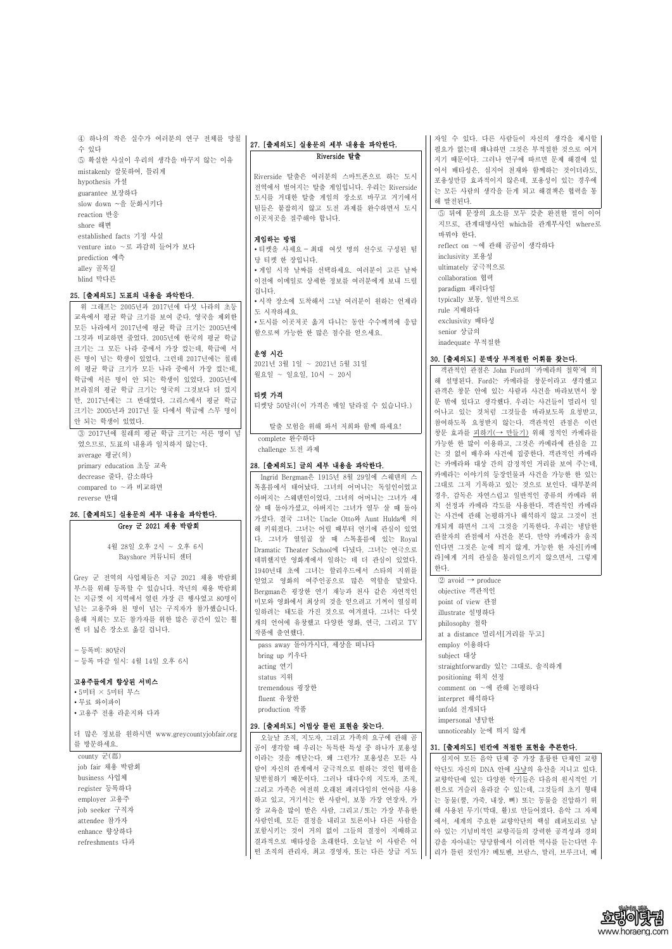④ 하나의 작은 실수가 여러분의 연구 전체를 망칠 수 있다 ⑤ 확실한 사실이 우리의 생각을 바꾸지 않는 이유 mistakenly 잘못하여, 틀리게 hypothesis 가설 guarantee 보장하다 slow down ~을 둔화시키다 reaction 반응 shore 해변 established facts 기정 사실 venture into ∼로 과감히 들어가 보다 prediction 예측 alley 골목길

blind 막다른

#### 25. [출제의도] 도표의 내용을 파악한다.

-위 그래프는 2005년과 2017년에 다섯 나라의 초등 ||| - 1 - 8 - 1<br>- ^ \* : 그그 : 그 - : 그 - : 그 : : 그 : : 그 ^ \* : : : : . 교육에서 평균 학급 크기를 보여 준다. 영국을 제외한 모든 나라에서 2017년에 평균 학급 크기는 2005년에 그것과 비교하면 줄었다. 2005년에 한국의 평균 학급 크기는 그 모든 나라 중에서 가장 컸는데, 학급에 서 른 명이 넘는 학생이 있었다. 그런데 2017년에는 칠레 의 평균 학급 크기가 모든 나라 중에서 가장 컸는데,<br>학급에 서른 명이 안 되는 학생이 있었다. 2005년에 브라질의 평균 학급 크기는 영국의 그것보다 더 컸지 만, 2017년에는 그 반대였다. 그리스에서 평균 학급 크기는 2005년과 2017년 둘 다에서 학급에 스무 명이 안 되는 학생이 있었다.

Grey 군 전역의 사업체들은 지금 2021 채용 박람회 ||| 얻었고 영화의 여주인공으로 많은 역할을 맡았다. 부스를 위해 등록할 수 있습니다. 작년의 채용 박람회 는 지금껏 이 지역에서 열린 가장 큰 행사였고 80명이 넘는 고용주와 천 명이 넘는 구직자가 참가했습니다.<br>올해 저희는 모든 참가자를 위한 많은 공간이 있는 훨 씬 더 넓은 장소로 옮길 겁니다.

③ 2017년에 칠레의 평균 학급 크기는 서른 명이 넘 었으므로, 도표의 내용과 일치하지 않는다. average 평균(의) primary education 초등 교육 decrease 줄다, 감소하다 compared to ∼과 비교하면 reverse 반대

26. [출제의도] 실용문의 세부 내용을 파악한다.

Grey 군 2021 채용 박람회

4월 28일 오후 2시 ∼ 오후 6시 Bayshore 커뮤니티 센터

- 등록비: 80달러 - 등록 마감 일시: 4월 14일 오후 6시

고용주들에게 향상된 서비스

∙ 5미터 × 5미터 부스 ∙ 무료 와이파이 ∙ 고용주 전용 라운지와 다과

# 27. [출제의도] 실용문의 세부 내용을 파악한다. Riverside 탈출

Riverside 탈출은 여러분의 스마트폰으로 하는 도시 전역에서 벌어지는 탈출 게임입니다. 우리는 Riverside 도시를 거대한 탈출 게임의 장소로 바꾸고 거기에서 ||| 늘 그는 '님 팀들은 붙잡히지 않고 도전 과제를 완수하면서 도시 이곳저곳을 질주해야 합니다.

자일 수 있다. 다른 사람들이 자신의 생각을 제시할 필요가 없는데 왜냐하면 그것은 부적절한 것으로 여겨 지기 때문이다. 그러나 연구에 따르면 문제 해결에 있 어서 배타성은, 심지어 천재와 함께하는 것이더라도,<br>포용성만큼 효과적이지 않은데, 포용성이 있는 경우에 는 모든 사람의 생각을 듣게 되고 해결책은 협력을 통 5 뒤에 문장의 요소를 모두 갖춘 완전한 절이 이어

#### 게임하는 방법

∙ 티켓을 사세요 - 최대 여섯 명의 선수로 구성된 팀 당 티켓 한 장입니다.<br>• 게임 시작 날짜를 선택하세요. 여러분이 고른 날짜 이전에 이메일로 상세한 정보를 여러분에게 보내 드릴 겁니다. ∙ 시작 장소에 도착해서 그날 여러분이 원하는 언제라 • 도시를 이곳저곳 옮겨 다니는 동안 수수께끼에 응답 함으로써 가능한 한 많은 점수를 얻으세요.

# 운영 시간

2021년 3월 1일 ∼ 2021년 5월 31일 월요일 ∼ 일요일, 10시 ∼ 20시

#### 티켓 가격

탈출 모험을 위해 와서 저희와 함께 하세요!

# complete 완수하다 challenge 도전 과제

# 28. [출제의도] 글의 세부 내용을 파악한다.

 $\oslash$  avoid  $\rightarrow$  produce objective 객관적인 point of view 관점 illustrate 설명하다 philosophy 철학 at a distance 멀리서[거리를 두고] employ 이용하다 subject 대상 straightforwardly 있는 그대로. 솔직하게 positioning 위치 선정 comment on ∼에 관해 논평하다 interpret 해석하다 unfold 전개되다

Ingrid Bergman은 1915년 8월 29일에 스웨덴의 스 톡홀름에서 태어났다. 그녀의 어머니는 독일인이었고 아버지는 스웨덴인이었다. 그녀의 어머니는 그녀가 세 살 때 돌아가셨고, 아버지는 그녀가 열두 살 때 돌아 가셨다. 결국 그녀는 Uncle Otto와 Aunt Hulda에 의 해 키워졌다. 그녀는 어릴 때부터 연기에 관심이 있었 다. 그녀가 열일곱 살 때 스톡홀름에 있는 Royal Dramatic Theater School에 다녔다. 그녀는 연극으로 데뷔했지만 영화계에서 일하는 데 더 관심이 있었다.<br>1940년대 초에 그녀는 할리우드에서 스타의 지위를 Bergman은 굉장한 연기 재능과 천사 같은 자연적인 미모와 영화에서 최상의 것을 얻으려고 기꺼이 열심히 일하려는 태도를 가진 것으로 여겨졌다. 그녀는 다섯 개의 언어에 유창했고 다양한 영화, 연극, 그리고 TV 작품에 출연했다.

pass away 돌아가시다, 세상을 떠나다 bring up 키우다 acting 연기 status 지위 tremendous 굉장한 fluent 유창한 production 작품

|                                         | 29. [출제의도] 어법상 틀린 표현을 찾는다.      | impersonal 냉담한                   |
|-----------------------------------------|---------------------------------|----------------------------------|
| 더 많은 정보를 원하시면 www.greycountyjobfair.org | 오늘날 조직, 지도자, 그리고 가족의 요구에 관해 곰   | unnoticeably 눈에 띄지 않게            |
| 를 방문하세요.                                | 곰이 생각할 때 우리는 독특한 특성 중 하나가 포용성   | 31. [출제의도] 빈칸에 적절한 표현을 추론한다.     |
| county 군(郡)                             | 이라는 것을 깨닫는다. 왜 그런가? 포용성은 모든 사   | 심지어 모든 음악 단체 중 가장 훌륭한 단체인 교향     |
| job fair 채용 박람회                         | 람이 자신의 관계에서 궁극적으로 원하는 것인 협력을    | 악단도 자신의 DNA 안에 사냥의 유산을 지니고 있다.   |
| business 사업체                            | 뒷받침하기 때문이다. 그러나 대다수의 지도자, 조직,   | 교향악단에 있는 다양한 악기들은 다음의 원시적인 기     |
| register 등록하다                           | 그리고 가족은 여전히 오래된 패러다임의 언어를 사용    | 원으로 거슬러 올라갈 수 있는데, 그것들의 초기 형태    |
| employer 고용주                            | 하고 있고, 거기서는 한 사람이, 보통 가장 연장자, 가 | 는 동물(뿔, 가죽, 내장, 뼈) 또는 동물을 진압하기 위 |
| job seeker 구직자                          | 장 교육을 많이 받은 사람, 그리고/또는 가장 부유한   | 해 사용된 무기(막대, 활)로 만들어졌다. 음악 그 자체  |
| attendee 참가자                            | 사람인데, 모든 결정을 내리고 토론이나 다른 사람을    | 에서, 세계의 주요한 교향악단의 핵심 레퍼토리로 남     |
| enhance 향상하다                            | 포함시키는 것이 거의 없이 그들의 결정이 지배하고     | 아 있는 기념비적인 교향곡들의 강력한 공격성과 경외     |
| refreshments 다과                         | 결과적으로 배타성을 초래한다. 오늘날 이 사람은 어    | 감을 자아내는 당당함에서 이러한 역사를 듣는다면 우     |
|                                         | 떤 조직의 관리자, 최고 경영자, 또는 다른 상급 지도  | 리가 틀린 것인가? 베토벤, 브람스, 말러, 브루크너, 베 |



티켓당 50달러(이 가격은 매일 달라질 수 있습니다.) 객관적인 관점은 John Ford의 '카메라의 철학'에 의 해 설명된다. Ford는 카메라를 창문이라고 생각했고 관객은 창문 안에 있는 사람과 사건을 바라보면서 창 문 밖에 있다고 생각했다. 우리는 사건들이 멀리서 일 참여하도록 요청받지 않는다. 객관적인 관점은 이런 창문 효과를 피하기(→ 만들기) 위해 정적인 카메라를 가능한 한 많이 이용하고, 그것은 카메라에 관심을 끄 는 것 없이 배우와 사건에 집중한다. 객관적인 카메라 는 카메라와 대상 간의 감정적인 거리를 보여 주는데,<br>카메라는 이야기의 등장인물과 사건을 가능한 한 있는 그대로 그저 기록하고 있는 것으로 보인다. 대부분의 경우, 감독은 자연스럽고 일반적인 종류의 카메라 위 치 선정과 카메라 각도를 사용한다. 객관적인 카메라 는 사건에 관해 논평하거나 해석하지 않고 그것이 전 개되게 하면서 그저 그것을 기록한다. 우리는 냉담한 관찰자의 관점에서 사건을 본다. 만약 카메라가 움직 인다면 그것은 눈에 띄지 않게, 가능한 한 자신[카메 라]에게 거의 관심을 불러일으키지 않으면서, 그렇게 한다.

지므로, 관계대명사인 which를 관계부사인 where로 바꿔야 한다. reflect on ∼에 관해 곰곰이 생각하다 inclusivity 포용성 ultimately 궁극적으로 collaboration 협력 paradigm 패러다임 typically 보통, 일반적으로 rule 지배하다 exclusivity 배타성 senior 상급의 inadequate 부적절한

# 30. [출제의도] 문맥상 부적절한 어휘를 찾는다.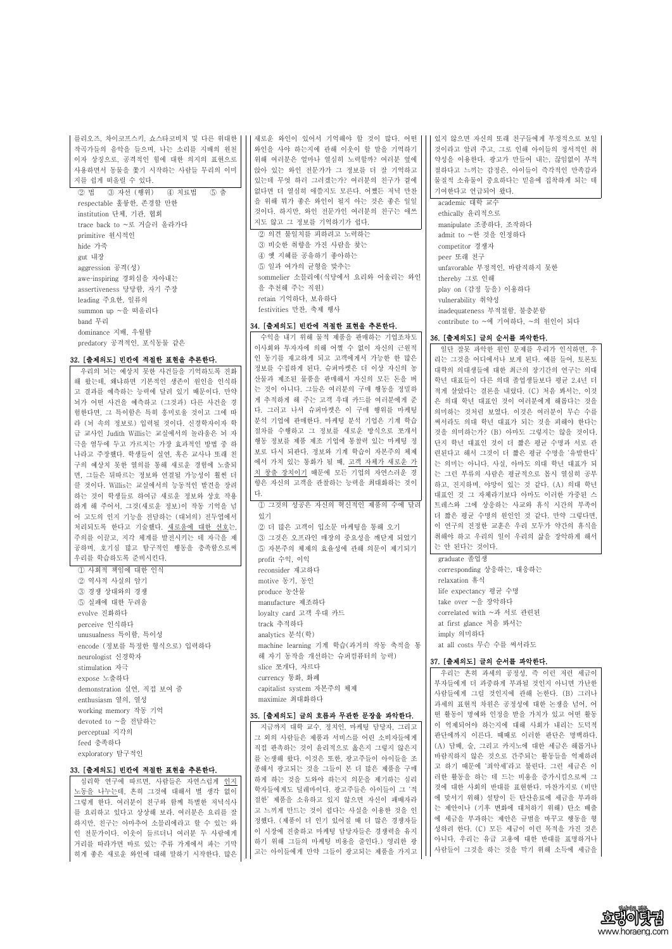를리오즈, 차이코프스키, 쇼스타코비치 및 다른 위대한

작곡가들의 음악을 들으며, 나는 소리를 지배의 원천 이자 상징으로, 공격적인 힘에 대한 의지의 표현으로 사용하면서 동물을 쫓기 시작하는 사람들 무리의 이미 지를 쉽게 떠올릴 수 있다. ② 법 ③ 자선 (행위) ④ 치료법 ⑤ 춤 respectable 훌륭한, 존경할 만한 institution 단체, 기관, 협회 trace back to ~로 거슬러 올라가다 primitive 원시적인 hide 가죽 gut 내장 aggression 공격(성) aweinspiring 경외심을 자아내는 assertiveness 당당함, 자기 주장 leading 주요한, 일류의 summon up ~을 떠올리다 band 무리 dominance 지배, 우월함 predatory 공격적인, 포식동물 같은

#### 32. [출제의도] 빈칸에 적절한 표현을 추론한다.

우리의 뇌는 예상치 못한 사건들을 기억하도록 진화 해 왔는데, 왜냐하면 기본적인 생존이 원인을 인식하 고 결과를 예측하는 능력에 달려 있기 때문이다. 만약 뇌가 어떤 사건을 예측하고 (그것과) 다른 사건을 경 험한다면, 그 특이함은 특히 흥미로울 것이고 그에 따 라 (뇌 속의 정보로) 입력될 것이다. 신경학자이자 학 급 교사인 Judith Willis는 교실에서의 놀라움은 뇌 자 극을 염두에 두고 가르치는 가장 효과적인 방법 중 하 나라고 주장했다. 학생들이 실연, 혹은 교사나 또래 친 구의 예상치 못한 열의를 통해 새로운 경험에 노출되 면, 그들은 뒤따르는 정보와 연결될 가능성이 훨씬 더 클 것이다. Willis는 교실에서의 능동적인 발견을 장려 하는 것이 학생들로 하여금 새로운 정보와 상호 작용 하게 해 주어서, 그것(새로운 정보)이 작동 기억을 넘 어 고도의 인지 기능을 전담하는 (대뇌의) 전두엽에서 처리되도록 한다고 기술했다. <u>새로움에 대한 선호</u>는,<br>주의를 이끌고, 지각 체계를 발전시키는 데 자극을 제 공하며, 호기심 많고 탐구적인 행동을 충족함으로써 우리를 학습하도록 준비시킨다. ① 사회적 책임에 대한 인식 ② 역사적 사실의 암기 ③ 경쟁 상대와의 경쟁 ⑤ 실패에 대한 두려움 evolve 진화하다 perceive 인식하다 unusualness 특이함, 특이성 encode (정보를 특정한 형식으로) 입력하다 neurologist 신경학자 stimulation 자극 expose 노출하다 demonstration 실연, 직접 보여 줌 enthusiasm 열의, 열성 working memory 작동 기억

새로운 와인이 있어서 기억해야 할 것이 많다. 어떤 와인을 사야 하는지에 관해 이웃이 할 말을 기억하기 위해 여러분은 얼마나 열심히 노력할까? 여러분 옆에 앉아 있는 와인 전문가가 그 정보를 더 잘 기억하고 있는데 무엇 하러 그러겠는가? 여러분의 친구가 곁에 없다면 더 열심히 애쓸지도 모른다. 어쨌든 저녁 만찬 을 위해 뭐가 좋은 와인이 될지 아는 것은 좋은 일일 것이다. 하지만, 와인 전문가인 여러분의 친구는 애쓰 지도 않고 그 정보를 기억하기가 쉽다. ② 의견 불일치를 피하려고 노력하는

③ 비슷한 취향을 가진 사람을 찾는 ④ 옛 지혜를 공유하기 좋아하는 ⑤ 일과 여가의 균형을 맞추는 sommelier 소믈리에(식당에서 요리와 어울리는 와인 을 추천해 주는 직원) retain 기억하다, 보유하다 festivities 만찬, 축제 행사

## 34. [출제의도] 빈칸에 적절한 표현을 추론한다.

수익을 내기 위해 물적 제품을 판매하는 기업조차도 이사회와 투자자에 의해 어쩔 수 없이 자신의 근원적 인 동기를 재고하게 되고 고객에게서 가능한 한 많은 정보를 수집하게 된다. 슈퍼마켓은 더 이상 자신의 농 산물과 제조된 물품을 판매해서 자신의 모든 돈을 버 는 것이 아니다. 그들은 여러분의 구매 행동을 정밀하 게 추적하게 해 주는 고객 우대 카드를 여러분에게 준 다. 그러고 나서 슈퍼마켓은 이 구매 행위를 마케팅 분석 기업에 판매한다. 마케팅 분석 기업은 기계 학습 절차를 수행하고 그 정보를 새로운 방식으로 쪼개서 행동 정보를 제품 제조 기업에 통찰력 있는 마케팅 정 보로 다시 되판다. 정보와 기계 학습이 자본주의 체제 에서 가치 있는 통화가 될 때, 고객 자체가 새로운 가 치 창출 장치이기 때문에 모든 기업의 자연스러운 경 향은 자신의 고객을 관찰하는 능력을 최대화하는 것이 다. ① 그것의 성공은 자신의 혁신적인 제품의 수에 달려 있기 ② 더 많은 고객이 입소문 마케팅을 통해 오기 ③ 그것은 오프라인 매장의 중요성을 깨닫게 되었기 ⑤ 자본주의 체제의 효율성에 관해 의문이 제기되기 profit 수익, 이익 reconsider 재고하다 motive 동기, 동인 produce 농산물 manufacture 제조하다 loyalty card 고객 우대 카드

track 추적하다 analytics 분석(학) machine learning 기계 학습(과거의 작동 축적을 통 해 자기 동작을 개선하는 슈퍼컴퓨터의 능력) slice 쪼개다, 자르다 currency 통화, 화폐 capitalist system 자본주의 체제 maximize 최대화하다

#### 35. [출제의도] 글의 흐름과 무관한 문장을 파악한다.

| devoted to ~을 전담하는            | 00. [さ세~] 그 그는 그들이 그린 안 만정을 써 다 안다. | 1: 20   01   1:02   22   1/1   20   20 |  |
|-------------------------------|-------------------------------------|----------------------------------------|--|
|                               | 지금까지 대학 교수, 정치인, 마케팅 담당자, 그리고       | 이 억제되어야 하는지에 대해 사회가 내리는 도덕적            |  |
| perceptual 지각의                | 그 외의 사람들은 제품과 서비스를 어린 소비자들에게        | 판단에까지 이른다. 때때로 이러한 판단은 명백하다.           |  |
| feed 충족하다                     | 직접 판촉하는 것이 윤리적으로 옳은지 그렇지 않은지        | (A) 담배, 술, 그리고 카지노에 대한 세금은 해롭거나        |  |
| exploratory 탐구적인              |                                     | 바람직하지 않은 것으로 간주되는 활동들을 억제하려            |  |
|                               | 를 논쟁해 왔다. 이것은 또한, 광고주들이 아이들을 조      |                                        |  |
| 33. [출제의도] 빈칸에 적절한 표현을 추론한다.  | 종해서 광고되는 것을 그들이 본 더 많은 제품을 구매       | 고 하기 때문에 '죄악세'라고 불린다. 그런 세금은 이         |  |
| 심리학 연구에 따르면, 사람들은 자연스럽게 인지    | 하게 하는 것을 도와야 하는지 의문을 제기하는 심리        | 러한 활동을 하는 데 드는 비용을 증가시킴으로써 그           |  |
|                               | 학자들에게도 딜레마이다. 광고주들은 아이들이 그 '적       | 것에 대한 사회의 반대를 표현한다. 마찬가지로 (비만          |  |
| 노동을 나누는데, 흔히 그것에 대해서 별 생각 없이  |                                     | 에 맞서기 위해) 설탕이 든 탄산음료에 세금을 부과하          |  |
| 그렇게 한다. 여러분이 친구와 함께 특별한 저녁식사  | 절한' 제품을 소유하고 있지 않으면 자신이 패배자라        |                                        |  |
| 를 요리하고 있다고 상상해 보라. 여러분은 요리를 잘 | 고 느끼게 만드는 것이 쉽다는 사실을 이용한 것을 인       | 는 제안이나 (기후 변화에 대처하기 위해) 탄소 배출          |  |
| 하지만, 친구는 아마추어 소믈리에라고 할 수 있는 와 | 정했다. (제품이 더 인기 있어질 때 더 많은 경쟁자들      | 에 세금을 부과하는 제안은 규범을 바꾸고 행동을 형           |  |
| 인 전문가이다. 이웃이 들르더니 여러분 두 사람에게  | 이 시장에 진출하고 마케팅 담당자들은 경쟁력을 유지        | 성하려 한다. (C) 모든 세금이 이런 목적을 가진 것은        |  |
|                               | 하기 위해 그들의 마케팅 비용을 줄인다.) 영리한 광       | 아니다. 우리는 유급 고용에 대한 반대를 표명하거나           |  |
| 거리를 따라가면 바로 있는 주류 가게에서 파는 기막  |                                     | 사람들이 그것을 하는 것을 막기 위해 소득에 세금을           |  |
| 히게 좋은 새로운 와인에 대해 말하기 시작한다. 많은 | 고는 아이들에게 만약 그들이 광고되는 제품을 가지고        |                                        |  |



있지 않으면 자신의 또래 친구들에게 부정적으로 보일 것이라고 알려 주고, 그로 인해 아이들의 정서적인 취 약성을 이용한다. 광고가 만들어 내는, 끊임없이 부적 절하다고 느끼는 감정은, 아이들이 즉각적인 만족감과 물질적 소유물이 중요하다는 믿음에 집착하게 되는 데 기여한다고 언급되어 왔다.

academic 대학 교수 ethically 윤리적으로 manipulate 조종하다, 조작하다 admit to ~한 것을 인정하다 competitor 경쟁자 peer 또래 친구 unfavorable 부정적인, 바람직하지 못한 thereby 그로 인해 play on (감정 등을) 이용하다 vulnerability 취약성 inadequateness 부적절함, 불충분함 contribute to ~에 기여하다, ~의 원인이 되다

#### 36. [출제의도] 글의 순서를 파악한다.

일단 잘못 파악한 원인 문제를 우리가 인식하면, 우 리는 그것을 어디에서나 보게 된다. 예를 들어, 토론토 대학의 의대생들에 대한 최근의 장기간의 연구는 의대 학년 대표들이 다른 의대 졸업생들보다 평균 2.4년 더 적게 살았다는 결론을 내렸다. (C) 처음 봐서는, 이것 은 의대 학년 대표인 것이 여러분에게 해롭다는 것을 의미하는 것처럼 보였다. 이것은 여러분이 무슨 수를 써서라도 의대 학년 대표가 되는 것을 피해야 한다는 단지 학년 대표인 것이 더 짧은 평균 수명과 서로 관 련된다고 해서 그것이 더 짧은 평균 수명을 '유발한다' 는 의미는 아니다. 사실, 아마도 의대 학년 대표가 되 는 그런 부류의 사람은 평균적으로 몹시 열심히 공부 하고, 진지하며, 야망이 있는 것 같다. (A) 의대 학년 대표인 것 그 자체라기보다 아마도 이러한 가중된 스 트레스와 그에 상응하는 사교와 휴식 시간의 부족이 더 짧은 평균 수명의 원인인 것 같다. 만약 그렇다면,<br>이 연구의 진정한 교훈은 우리 모두가 약간의 휴식을 취해야 하고 우리의 일이 우리의 삶을 장악하게 해서 는 안 된다는 것이다.

graduate 졸업생 corresponding 상응하는, 대응하는 relaxation 휴식 life expectancy 평균 수명 take over ~을 장악하다 correlated with ~과 서로 관련된 at first glance 처음 봐서는 imply 의미하다 at all costs 무슨 수를 써서라도

#### 37. [출제의도] 글의 순서를 파악한다.

우리는 흔히 과세의 공정성, 즉 이런 저런 세금이 부자들에게 더 과중하게 부과될 것인지 아니면 가난한 사람들에게 그럴 것인지에 관해 논한다. (B) 그러나 과세의 표현적 차원은 공정성에 대한 논쟁을 넘어, 어 떤 활동이 명예와 인정을 받을 가치가 있고 어떤 활동